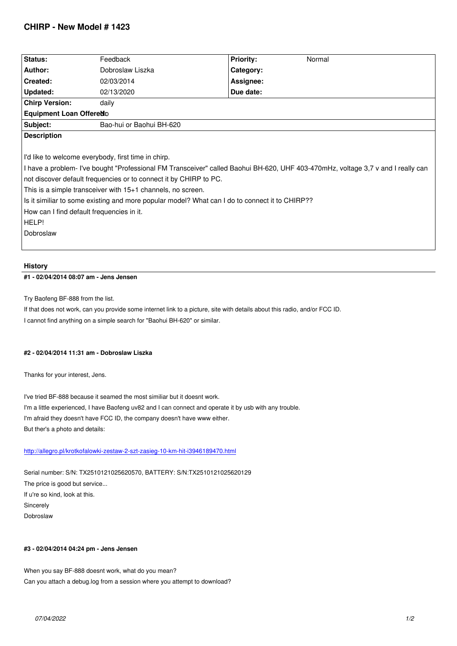| Status:                                                                                                                          | Feedback                 | <b>Priority:</b> | Normal |
|----------------------------------------------------------------------------------------------------------------------------------|--------------------------|------------------|--------|
| Author:                                                                                                                          | Dobroslaw Liszka         | Category:        |        |
| Created:                                                                                                                         | 02/03/2014               | Assignee:        |        |
| <b>Updated:</b>                                                                                                                  | 02/13/2020               | Due date:        |        |
| <b>Chirp Version:</b>                                                                                                            | daily                    |                  |        |
| Equipment Loan Offered D                                                                                                         |                          |                  |        |
| Subject:                                                                                                                         | Bao-hui or Baohui BH-620 |                  |        |
| <b>Description</b>                                                                                                               |                          |                  |        |
|                                                                                                                                  |                          |                  |        |
| I'd like to welcome everybody, first time in chirp.                                                                              |                          |                  |        |
| I have a problem- I've bought "Professional FM Transceiver" called Baohui BH-620, UHF 403-470mHz, voltage 3,7 v and I really can |                          |                  |        |
| not discover default frequencies or to connect it by CHIRP to PC.                                                                |                          |                  |        |
| This is a simple transceiver with 15+1 channels, no screen.                                                                      |                          |                  |        |
| Is it similiar to some existing and more popular model? What can I do to connect it to CHIRP??                                   |                          |                  |        |
| How can I find default frequencies in it.                                                                                        |                          |                  |        |
| HELP!                                                                                                                            |                          |                  |        |
| Dobroslaw                                                                                                                        |                          |                  |        |
|                                                                                                                                  |                          |                  |        |
|                                                                                                                                  |                          |                  |        |

# **History**

# **#1 - 02/04/2014 08:07 am - Jens Jensen**

*Try Baofeng BF-888 from the list.*

*If that does not work, can you provide some internet link to a picture, site with details about this radio, and/or FCC ID. I cannot find anything on a simple search for "Baohui BH-620" or similar.*

#### **#2 - 02/04/2014 11:31 am - Dobroslaw Liszka**

*Thanks for your interest, Jens.*

*I've tried BF-888 because it seamed the most similiar but it doesnt work. I'm a little experienced, I have Baofeng uv82 and I can connect and operate it by usb with any trouble. I'm afraid they doesn't have FCC ID, the company doesn't have www either. But ther's a photo and details:*

### *http://allegro.pl/krotkofalowki-zestaw-2-szt-zasieg-10-km-hit-i3946189470.html*

*Serial number: S/N: TX2510121025620570, BATTERY: S/N:TX2510121025620129 [The price is good but service...](http://allegro.pl/krotkofalowki-zestaw-2-szt-zasieg-10-km-hit-i3946189470.html) If u're so kind, look at this. Sincerely Dobroslaw*

#### **#3 - 02/04/2014 04:24 pm - Jens Jensen**

*When you say BF-888 doesnt work, what do you mean? Can you attach a debug.log from a session where you attempt to download?*